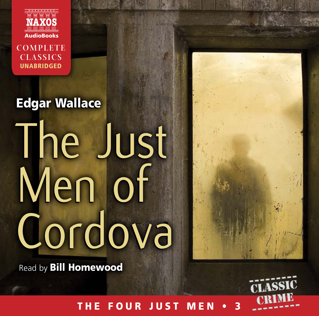

**COMPLETE CLASSICS** UNABRIDGED

# Edgar Wallace Edgar Wallace The Just The Just Men of Men of Cordova Cordova

Read by Bill Homewood Read by Bill Homewood



THE FOUR JUST MEN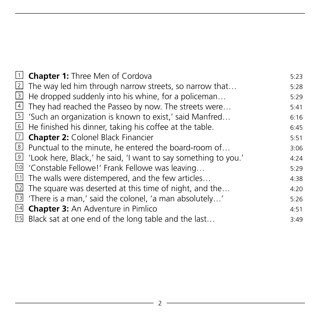| 1 <b>Chapter 1:</b> Three Men of Cordova                                    | 5:23 |
|-----------------------------------------------------------------------------|------|
| $\overline{2}$ The way led him through narrow streets, so narrow that       | 5:28 |
| $\overline{3}$ He dropped suddenly into his whine, for a policeman          | 5:29 |
| 4 They had reached the Passeo by now. The streets were                      | 5:41 |
| $5$ 'Such an organization is known to exist,' said Manfred                  | 6:16 |
| $\overline{6}$ He finished his dinner, taking his coffee at the table.      | 6:45 |
| 7 <b>Chapter 2:</b> Colonel Black Financier                                 | 5:51 |
| 8 Punctual to the minute, he entered the board-room of                      | 3:06 |
| <sup>9</sup> 'Look here, Black,' he said, 'I want to say something to you.' | 4:24 |
| <sup>10</sup> 'Constable Fellowe!' Frank Fellowe was leaving                | 5:29 |
| $11$ The walls were distempered, and the few articles                       | 4:38 |
| $\overline{12}$ The square was deserted at this time of night, and the      | 4:20 |
| $\overline{13}$ 'There is a man,' said the colonel, 'a man absolutely'      | 5:26 |
| 14 <b>Chapter 3:</b> An Adventure in Pimlico                                | 4:51 |
| $\overline{15}$ Black sat at one end of the long table and the last         | 3:49 |
|                                                                             |      |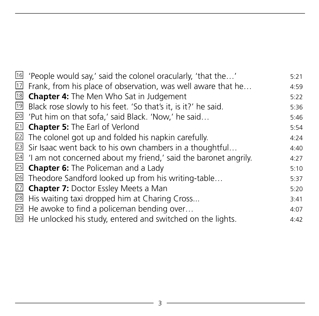| $\overline{16}$ 'People would say,' said the colonel oracularly, 'that the'    | 5:21 |
|--------------------------------------------------------------------------------|------|
| $\overline{12}$ Frank, from his place of observation, was well aware that he   | 4:59 |
| <sup>18</sup> <b>Chapter 4:</b> The Men Who Sat in Judgement                   | 5:22 |
| Black rose slowly to his feet. 'So that's it, is it?' he said.                 | 5:36 |
| <sup>20</sup> 'Put him on that sofa,' said Black. 'Now,' he said               | 5:46 |
| 21 <b>Chapter 5:</b> The Earl of Verlond                                       | 5:54 |
| $\overline{22}$ The colonel got up and folded his napkin carefully.            | 4:24 |
| $\overline{23}$ Sir Isaac went back to his own chambers in a thoughtful        | 4:40 |
| $\frac{24}{1}$ 'I am not concerned about my friend,' said the baronet angrily. | 4:27 |
| $\overline{25}$ <b>Chapter 6:</b> The Policeman and a Lady                     | 5:10 |
| 26 Theodore Sandford looked up from his writing-table                          | 5:37 |
| 27 <b>Chapter 7:</b> Doctor Essley Meets a Man                                 | 5:20 |
| 28 His waiting taxi dropped him at Charing Cross                               | 3:41 |
| 29 He awoke to find a policeman bending over                                   | 4:07 |
| 30 He unlocked his study, entered and switched on the lights.                  | 4:42 |
|                                                                                |      |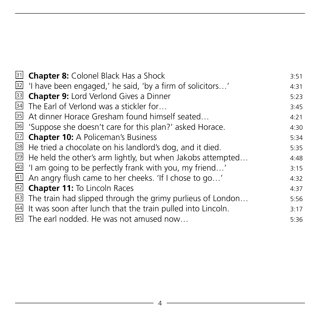| 31 <b>Chapter 8:</b> Colonel Black Has a Shock                             | 3:51 |
|----------------------------------------------------------------------------|------|
| $\overline{32}$ 'I have been engaged,' he said, 'by a firm of solicitors'  | 4:31 |
| 33 Chapter 9: Lord Verlond Gives a Dinner                                  | 5:23 |
| 34 The Earl of Verlond was a stickler for                                  | 3:45 |
| 35 At dinner Horace Gresham found himself seated                           | 4:21 |
| 36 'Suppose she doesn't care for this plan?' asked Horace.                 | 4:30 |
| 37 Chapter 10: A Policeman's Business                                      | 5:34 |
| 38 He tried a chocolate on his landlord's dog, and it died.                | 5:35 |
| $\overline{39}$ He held the other's arm lightly, but when Jakobs attempted | 4:48 |
| 40 'I am going to be perfectly frank with you, my friend'                  | 3:15 |
| $41$ An angry flush came to her cheeks. 'If I chose to go'                 | 4:32 |
| 42 <b>Chapter 11:</b> To Lincoln Races                                     | 4:37 |
| $\overline{43}$ The train had slipped through the grimy purlieus of London | 5:56 |
| 44 It was soon after lunch that the train pulled into Lincoln.             | 3:17 |
| 45 The earl nodded. He was not amused now                                  | 5:36 |
|                                                                            |      |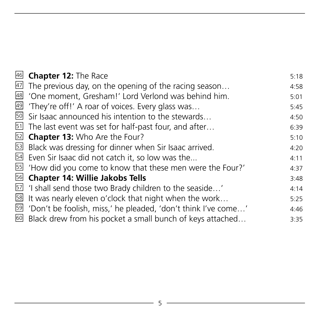| 46              | <b>Chapter 12: The Race</b>                                               | 5:18 |
|-----------------|---------------------------------------------------------------------------|------|
|                 | $47$ The previous day, on the opening of the racing season                | 4:58 |
| $\overline{48}$ | 'One moment, Gresham!' Lord Verlond was behind him.                       | 5:01 |
|                 | 49 'They're off!' A roar of voices. Every glass was                       | 5:45 |
|                 | $\overline{50}$ Sir Isaac announced his intention to the stewards         | 4:50 |
|                 | $51$ The last event was set for half-past four, and after                 | 6:39 |
|                 | 52 <b>Chapter 13:</b> Who Are the Four?                                   | 5:10 |
|                 | 53 Black was dressing for dinner when Sir Isaac arrived.                  | 4:20 |
|                 | 54 Even Sir Isaac did not catch it, so low was the                        | 4:11 |
|                 | 55 'How did you come to know that these men were the Four?'               | 4:37 |
|                 | $\overline{56}$ Chapter 14: Willie Jakobs Tells                           | 3:48 |
|                 | $\overline{57}$ 'I shall send those two Brady children to the seaside'    | 4:14 |
|                 | $58$ It was nearly eleven o'clock that night when the work                | 5:25 |
|                 | 59 'Don't be foolish, miss,' he pleaded, 'don't think I've come'          | 4:46 |
|                 | $\overline{60}$ Black drew from his pocket a small bunch of keys attached | 3:35 |
|                 |                                                                           |      |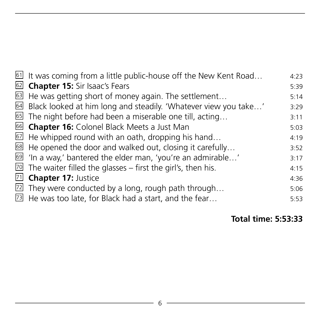| 61 It was coming from a little public-house off the New Kent Road           | 4:23 |
|-----------------------------------------------------------------------------|------|
| 62 <b>Chapter 15:</b> Sir Isaac's Fears                                     | 5:39 |
| B He was getting short of money again. The settlement                       | 5:14 |
| 64 Black looked at him long and steadily. 'Whatever view you take'          | 3:29 |
| So The night before had been a miserable one till, acting                   | 3:11 |
| 66 Chapter 16: Colonel Black Meets a Just Man                               | 5:03 |
| $\overline{52}$ He whipped round with an oath, dropping his hand            | 4:19 |
| 88 He opened the door and walked out, closing it carefully                  | 3:52 |
| <sup>69</sup> 'In a way,' bantered the elder man, 'you're an admirable'     | 3:17 |
| $\overline{20}$ The waiter filled the glasses – first the girl's, then his. | 4:15 |
| 71 <b>Chapter 17:</b> Justice                                               | 4:36 |
| $\overline{22}$ They were conducted by a long, rough path through           | 5:06 |
| $\overline{23}$ He was too late, for Black had a start, and the fear        | 5:53 |
|                                                                             |      |

 **Total time: 5:53:33**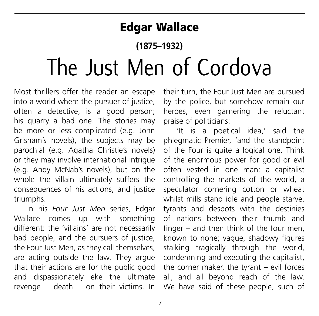### Edgar Wallace

## **(1875–1932)** The Just Men of Cordova

Most thrillers offer the reader an escape into a world where the pursuer of justice, often a detective, is a good person; his quarry a bad one. The stories may be more or less complicated (e.g. John Grisham's novels), the subjects may be parochial (e.g. Agatha Christie's novels) or they may involve international intrigue (e.g. Andy McNab's novels), but on the whole the villain ultimately suffers the consequences of his actions, and justice triumphs.

In his *Four Just Men* series, Edgar Wallace comes up with something different: the 'villains' are not necessarily bad people, and the pursuers of justice, the Four Just Men, as they call themselves, are acting outside the law. They argue that their actions are for the public good and dispassionately eke the ultimate revenge – death – on their victims. In

their turn, the Four Just Men are pursued by the police, but somehow remain our heroes, even garnering the reluctant praise of politicians:

'It is a poetical idea,' said the phlegmatic Premier, 'and the standpoint of the Four is quite a logical one. Think of the enormous power for good or evil often vested in one man: a capitalist controlling the markets of the world, a speculator cornering cotton or wheat whilst mills stand idle and people starve, tyrants and despots with the destinies of nations between their thumb and finger – and then think of the four men, known to none; vague, shadowy figures stalking tragically through the world, condemning and executing the capitalist, the corner maker, the tyrant – evil forces all, and all beyond reach of the law. We have said of these people, such of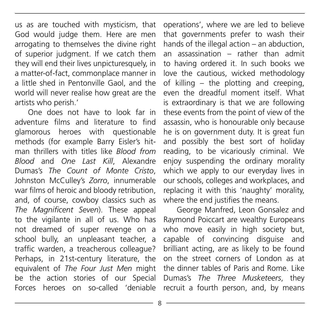us as are touched with mysticism, that God would judge them. Here are men arrogating to themselves the divine right of superior judgment. If we catch them they will end their lives unpicturesquely, in a matter-of-fact, commonplace manner in a little shed in Pentonville Gaol, and the world will never realise how great are the artists who perish.'

One does not have to look far in adventure films and literature to find glamorous heroes with questionable methods (for example Barry Eisler's hitman thrillers with titles like *Blood from Blood* and *One Last Kill*, Alexandre Dumas's *The Count of Monte Cristo*, Johnston McCulley's *Zorro*, innumerable war films of heroic and bloody retribution, and, of course, cowboy classics such as *The Magnificent Seven*). These appeal to the vigilante in all of us. Who has not dreamed of super revenge on a school bully, an unpleasant teacher, a traffic warden, a treacherous colleague? Perhaps, in 21st-century literature, the equivalent of *The Four Just Men* might be the action stories of our Special Forces heroes on so-called 'deniable

operations', where we are led to believe that governments prefer to wash their hands of the illegal action – an abduction, an assassination – rather than admit to having ordered it. In such books we love the cautious, wicked methodology of killing – the plotting and creeping, even the dreadful moment itself. What is extraordinary is that we are following these events from the point of view of the assassin, who is honourable only because he is on government duty. It is great fun and possibly the best sort of holiday reading, to be vicariously criminal. We enjoy suspending the ordinary morality which we apply to our everyday lives in our schools, colleges and workplaces, and replacing it with this 'naughty' morality, where the end justifies the means.

George Manfred, Leon Gonsalez and Raymond Poiccart are wealthy Europeans who move easily in high society but. capable of convincing disguise and brilliant acting, are as likely to be found on the street corners of London as at the dinner tables of Paris and Rome. Like Dumas's *The Three Musketeers*, they recruit a fourth person, and, by means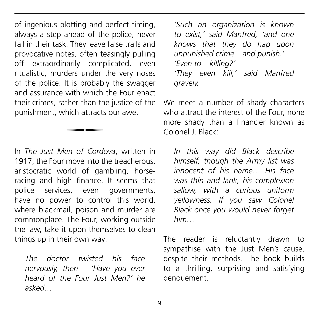of ingenious plotting and perfect timing, always a step ahead of the police, never fail in their task. They leave false trails and provocative notes, often teasingly pulling off extraordinarily complicated, even ritualistic, murders under the very noses of the police. It is probably the swagger and assurance with which the Four enact their crimes, rather than the justice of the punishment, which attracts our awe.

In *The Just Men of Cordova* , written in 1917, the Four move into the treacherous, aristocratic world of gambling, horseracing and high finance. It seems that police services, even governments, have no power to control this world, where blackmail, poison and murder are commonplace. The Four, working outside the law, take it upon themselves to clean things up in their own way:

 $\overline{\phantom{a}}$ 

*The doctor twisted his face nervously, then – 'Have you ever heard of the Four Just Men?' he asked…*

*'Such an organization is known to exist,' said Manfred, 'and one knows that they do hap upon unpunished crime – and punish.' 'Even to – killing?' 'They even kill,' said Manfred gravely.*

We meet a number of shady characters who attract the interest of the Four, none more shady than a financier known as Colonel J. Black:

*In this way did Black describe himself, though the Army list was innocent of his name… His face was thin and lank, his complexion sallow, with a curious uniform yellowness. If you saw Colonel Black once you would never forget him…*

The reader is reluctantly drawn to sympathise with the Just Men's cause, despite their methods. The book builds to a thrilling, surprising and satisfying denouement.

9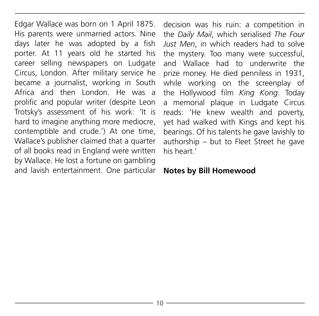Edgar Wallace was born on 1 April 1875. His parents were unmarried actors. Nine days later he was adopted by a fish porter. At 11 years old he started his career selling newspapers on Ludgate Circus, London. After military service he became a journalist, working in South Africa and then London. He was a prolific and popular writer (despite Leon Trotsky's assessment of his work: 'It is hard to imagine anything more mediocre, contemptible and crude.') At one time, Wallace's publisher claimed that a quarter of all books read in England were written by Wallace. He lost a fortune on gambling and lavish entertainment. One particular decision was his ruin: a competition in the *Daily Mail*, which serialised *The Four Just Men*, in which readers had to solve the mystery. Too many were successful, and Wallace had to underwrite the prize money. He died penniless in 1931, while working on the screenplay of the Hollywood film *King Kong*. Today a memorial plaque in Ludgate Circus reads: 'He knew wealth and poverty, yet had walked with Kings and kept his bearings. Of his talents he gave lavishly to authorship – but to Fleet Street he gave his heart.'

#### **Notes by Bill Homewood**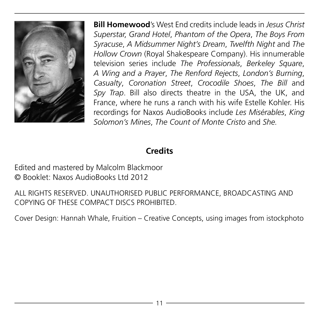

**Bill Homewood**'s West End credits include leads in *Jesus Christ Superstar*, *Grand Hotel*, *Phantom of the Opera*, *The Boys From Syracuse*, *A Midsummer Night's Dream*, *Twelfth Night* and *The Hollow Crown* (Royal Shakespeare Company). His innumerable television series include *The Professionals*, *Berkeley Square*, *A Wing and a Prayer*, *The Renford Rejects*, *London's Burning*, *Casualty*, *Coronation Street*, *Crocodile Shoes*, *The Bill* and *Spy Trap*. Bill also directs theatre in the USA, the UK, and France, where he runs a ranch with his wife Estelle Kohler. His recordings for Naxos AudioBooks include *Les Misérables*, *King Solomon's Mines*, *The Count of Monte Cristo* and *She.*

#### **Credits**

Edited and mastered by Malcolm Blackmoor © Booklet: Naxos AudioBooks Ltd 2012

ALL RIGHTS RESERVED. UNAUTHORISED PUBLIC PERFORMANCE, BROADCASTING AND COPYING OF THESE COMPACT DISCS PROHIBITED.

Cover Design: Hannah Whale, Fruition – Creative Concepts, using images from istockphoto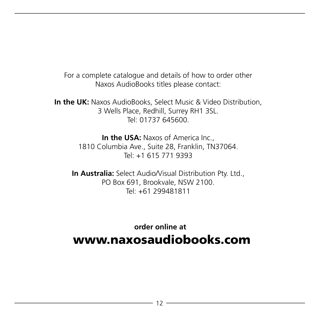For a complete catalogue and details of how to order other Naxos AudioBooks titles please contact:

**In the UK:** Naxos AudioBooks, Select Music & Video Distribution, 3 Wells Place, Redhill, Surrey RH1 3SL. Tel: 01737 645600.

> **In the USA: Naxos of America Inc.,** 1810 Columbia Ave., Suite 28, Franklin, TN37064. Tel: +1 615 771 9393

**In Australia:** Select Audio/Visual Distribution Pty. Ltd., PO Box 691, Brookvale, NSW 2100. Tel: +61 299481811

 **order online at** www.naxosaudiobooks.com